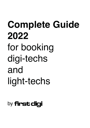# **Complete Guide 2022** for booking digi-techs and light-techs

# by **first cligi**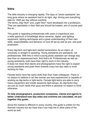# **Intro**

The stills industry is changing rapidly. The days of "photo assistants" are long gone where an assistant had to do light, digi, driving and everything else for 150€ per day without overtime.

The terms "Digi-Tech" and "Light-Tech" have developed into a profession. They are specialists in their field and should be treated, and of course paid like so.

This guide is regarding professionals with years in experience and a wide spectrum of knowledge about cameras, digital- and lighting equipment, lighting techniques and a great understanding of their own skills, responsibilities and behavior on and off set as well as pre- and postproduction.

Every digi-tech and light-tech started somewhere: As an intern, at university or straight to assisting. Young assistants are assistants, not professionals. With this in mind a young photo assistant can charge way less than an experienced tech. And that's ok. Professionals as well as young assistants, both have their right to work in the industry. It does not mean that clients and photographers have the right to exploit young assistants and push them towards crazy low day rates or even working for free.

Female techs have the same skills than their male colleagues. There is no reason to believe or act like women are less experienced or capable of working as digi-techs or light-techs. Female light-techs are able to carry heavy equipment and create awesome light setups. As digi-techs they are just as much nerds than guys and there is absolute no reason to think otherwise.

#### **To help photographers, production companies, clients and agents to better understand how day-rates and overtime are calculated, we put together this guide.**

Since the market is different in every country, this guide is written for the German industry but we hope that it can help the in other parts of the world as well.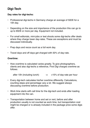# **Digi-Tech**

#### **Day rates for digi-techs:**

- Professional digi-techs in Germany charge an average of 500€ for a 10h day.
- Depending on the size and importance of the production this can go to up to 650€ or more per day. Equipment not included.
- For small editorials, mini-jobs or test shoots some digi-techs offer deals where they charge lower day-rates. These are exceptions and must be discussed individually.
- Prep days and recce count as a full work day.
- Travel days and off days get charged with 50% of day-rate.

#### **Overtime:**

• How overtime is calculated varies greatly. To give photographers, clients and also digi-techs a reference, First Digi charges overtime as follows:

after 10h (including lunch)  $\rightarrow$  +15% of day-rate per hour

- Every digi-tech calculates his/her overtime differently. Calculations, counting steps and percentage vary a lot. We suggest always discussing overtime before production.
- Work time starts with call time for the digi-tech and ends after loading equipment into the van.
- Transportation between home and set or rent, before and after production usually is not counted as work time, but transportation cost might be charged or is already included in the package price some digis offer.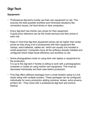# **Digi-Tech**

### **Equipment:**

- Professional digi-techs mostly use their own equipment on set. This ensures the best possible workflow and minimizes situations like connection issues, full hard-drives or slow computers.
- Every digi-tech has his/her own prices for their equipment. A good price reference can be the rental services and their prices in each city.
- Keep in mind that digi-tech equipment prices can be higher than rental prices as they bring a lot of accessories with their equipment like clamps, extra batteries, cables etc. which are usually not included in rental equipment. Computers have all the software already installed and configured which helps boost efficiency and workflow on set.
- Some photographers insist on using their own laptop or equipment for the production. It is up to the digi-tech if he/she is willing to work with a photographers computer or insists on using his/her own equipment. This must be discussed individually and best case before production.
- First Digi offers different packages from a small location setup to a full studio setup with multiple screens. These packages can be configured individually for every production adding cameras, lenses, extra screens, printers etc.. They come with a professional digi-tech and archive backup.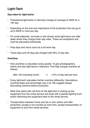# **Light-Tech**

#### **Day-rates for light-techs:**

- Professional light-techs in Germany charge an average of 450€ for a 10h day.
- Depending on the size and importance of the production this can go to up to 650€ or more per day.
- For small editorials, mini-jobs or test shoots some light-techs can offer deals where they charge lower day-rates. These are exceptions and must be discussed individually.
- Prep days and recce count as a full work day.
- Travel days and off days get charged with 50% of day-rate.

#### **Overtime:**

• How overtime is calculated varies greatly. To give photographers, clients and also light-techs a reference, First Digi charges overtime as follows:

after 10h (including lunch)  $\rightarrow$  +15% of day-rate per hour

- Every light-tech calculates his/her overtime differently. Calculations, counting steps and percentage vary a lot. We suggest always discussing overtime before production.
- Work time starts with call time for the light-tech or picking up the equipment from the rental service and ends with a packed lighting truck and/or delivering the equipment back to the rental service.
- Transportation between home and set or rent, before and after production usually is not counted as work time, except transportation of equipment to and from rental services.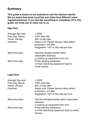## **Summary**

**This guide is based on our experience with the German market. We are aware that some countries and cities have different rules/ regulations/prices. If you feel like something is completely off in this guide, we invite you to reach out to us.** 

### **Digi-Tech**

| <b>Average Day-rate:</b> | ≈ 500€                                                              |
|--------------------------|---------------------------------------------------------------------|
| Prep Day, Recce:         | 100% day-rate.                                                      |
| Travel, Off-day:         | 50% of day-rate.                                                    |
| Overtime:                | Varies a lot. Please discuss rates before<br>production, not after. |
|                          | Suggestion: 15% of day-rate per hour.                               |
| Work-time start:         | Call-time (location/studio within<br>reasonable distance).          |
|                          | or picking up equipment from rent.                                  |
| Work-time stop:          | Finish packing equipment.                                           |
|                          | or finish delivering equipment back to                              |
|                          | rental service.                                                     |

### **Light-Tech**

| <b>Average Day-rate:</b><br>Prep Day, Recce:<br>Travel, Off-day:<br>Overtime: | $\approx 450 \epsilon$<br>100% day-rate.<br>50% of day-rate.<br>Varies a lot. Please discuss rates before<br>production, not after.<br>Suggestion: 15% of day-rate per hour. |
|-------------------------------------------------------------------------------|------------------------------------------------------------------------------------------------------------------------------------------------------------------------------|
| Work-time start:                                                              | Call-time (location/studio within reasonable<br>distance)                                                                                                                    |
| Work-time stop:                                                               | or picking up equipment from rent.<br>Finish packing equipment.<br>or finish delivering equipment back to rental<br>service.                                                 |